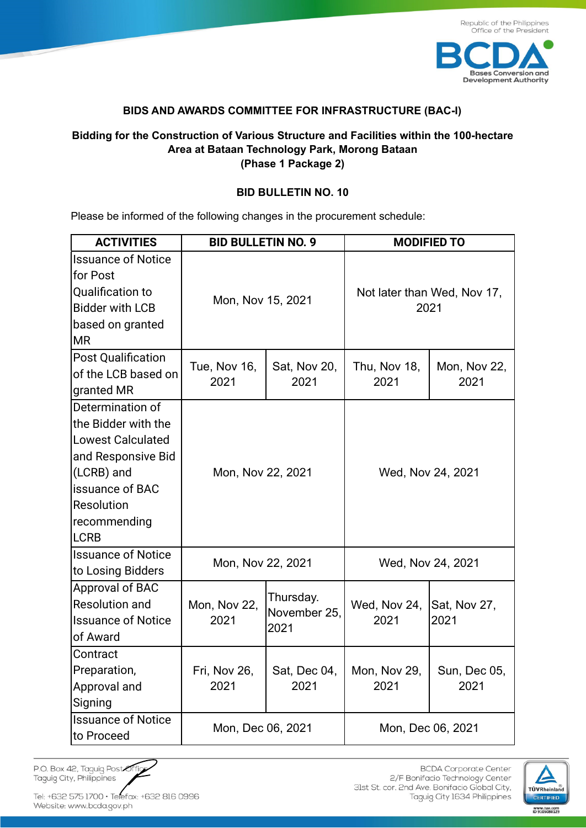

## **BIDS AND AWARDS COMMITTEE FOR INFRASTRUCTURE (BAC-I)**

## **Bidding for the Construction of Various Structure and Facilities within the 100-hectare Area at Bataan Technology Park, Morong Bataan (Phase 1 Package 2)**

## **BID BULLETIN NO. 10**

Please be informed of the following changes in the procurement schedule:

| <b>ACTIVITIES</b>                                                                                                                                                              | <b>BID BULLETIN NO. 9</b> |                                   | <b>MODIFIED TO</b>                  |                      |
|--------------------------------------------------------------------------------------------------------------------------------------------------------------------------------|---------------------------|-----------------------------------|-------------------------------------|----------------------|
| <b>Issuance of Notice</b><br>for Post<br><b>Qualification to</b><br><b>Bidder with LCB</b><br>based on granted<br><b>MR</b>                                                    | Mon, Nov 15, 2021         |                                   | Not later than Wed, Nov 17,<br>2021 |                      |
| <b>Post Qualification</b><br>of the LCB based on<br>granted MR                                                                                                                 | Tue, Nov 16,<br>2021      | Sat, Nov 20,<br>2021              | Thu, Nov 18,<br>2021                | Mon, Nov 22,<br>2021 |
| Determination of<br>the Bidder with the<br><b>Lowest Calculated</b><br>and Responsive Bid<br>(LCRB) and<br><b>Issuance of BAC</b><br>Resolution<br>recommending<br><b>LCRB</b> | Mon, Nov 22, 2021         |                                   | Wed, Nov 24, 2021                   |                      |
| <b>Issuance of Notice</b><br>to Losing Bidders                                                                                                                                 | Mon, Nov 22, 2021         |                                   | Wed, Nov 24, 2021                   |                      |
| Approval of BAC<br><b>Resolution and</b><br><b>Issuance of Notice</b><br>of Award                                                                                              | Mon, Nov 22,<br>2021      | Thursday.<br>November 25,<br>2021 | Wed, Nov 24,<br>2021                | Sat, Nov 27,<br>2021 |
| Contract<br>Preparation,<br>Approval and<br>Signing                                                                                                                            | Fri, Nov 26,<br>2021      | Sat, Dec 04,<br>2021              | Mon, Nov 29,<br>2021                | Sun, Dec 05,<br>2021 |
| <b>Issuance of Notice</b><br>to Proceed                                                                                                                                        | Mon, Dec 06, 2021         |                                   | Mon, Dec 06, 2021                   |                      |

P.O. Box 42, Taguig Post Off Taguig City, Philippines

Tel: +632 575 1700 · Telefax: +632 816 0996 Website: www.bcda.gov.ph

**BCDA** Corporate Center 2/F Bonifacio Technology Center 31st St. cor. 2nd Ave. Bonifacio Global City, Taguig City 1634 Philippines